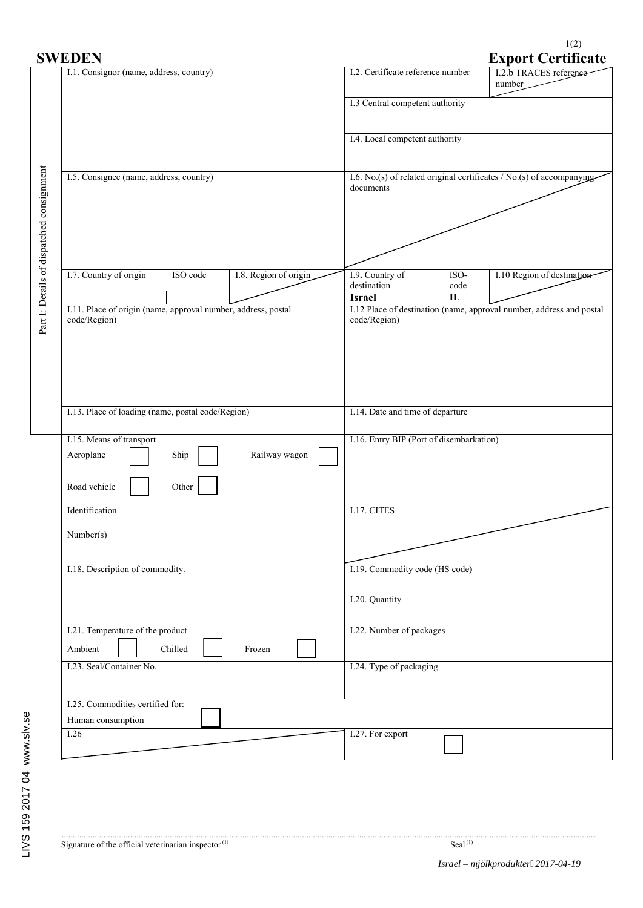$1(2)$ <br>Export Contificate

| <b>SWEDEN</b>                                                                 | <b>Export Certificate</b>                                                                                         |  |  |
|-------------------------------------------------------------------------------|-------------------------------------------------------------------------------------------------------------------|--|--|
| I.1. Consignor (name, address, country)                                       | I.2.b TRACES reference<br>I.2. Certificate reference number<br>number                                             |  |  |
|                                                                               | I.3 Central competent authority                                                                                   |  |  |
|                                                                               | I.4. Local competent authority                                                                                    |  |  |
| I.5. Consignee (name, address, country)                                       | I.6. No.(s) of related original certificates $/$ No.(s) of accompanying<br>documents                              |  |  |
| Part I: Details of dispatched consignment                                     |                                                                                                                   |  |  |
| I.7. Country of origin<br>I.8. Region of origin<br>ISO code                   | I.10 Region of destination<br>I.9. Country of<br>ISO-<br>destination<br>code<br>${\bf I}{\bf L}$<br><b>Israel</b> |  |  |
| I.11. Place of origin (name, approval number, address, postal<br>code/Region) | I.12 Place of destination (name, approval number, address and postal<br>code/Region)                              |  |  |
| I.13. Place of loading (name, postal code/Region)                             | I.14. Date and time of departure                                                                                  |  |  |
| I.15. Means of transport<br>Railway wagon<br>Aeroplane<br>Ship                | I.16. Entry BIP (Port of disembarkation)                                                                          |  |  |
| Other<br>Road vehicle<br>Identification                                       | I.17. CITES                                                                                                       |  |  |
| Number(s)                                                                     |                                                                                                                   |  |  |
| I.18. Description of commodity.                                               | I.19. Commodity code (HS code)                                                                                    |  |  |
|                                                                               | I.20. Quantity                                                                                                    |  |  |
| I.21. Temperature of the product<br>Ambient<br>Chilled<br>Frozen              | I.22. Number of packages                                                                                          |  |  |
| I.23. Seal/Container No.                                                      | I.24. Type of packaging                                                                                           |  |  |
| I.25. Commodities certified for:<br>Human consumption                         |                                                                                                                   |  |  |
| I.26                                                                          | I.27. For export                                                                                                  |  |  |